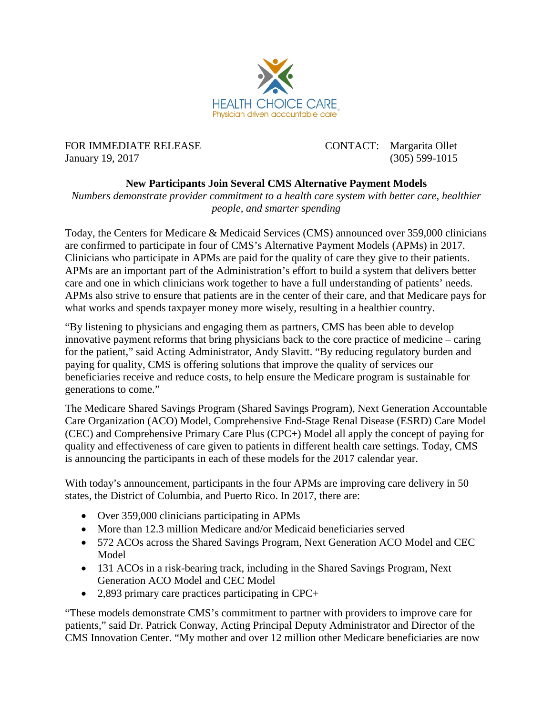

FOR IMMEDIATE RELEASE CONTACT: Margarita Ollet January 19, 2017 (305) 599-1015

## **New Participants Join Several CMS Alternative Payment Models**

*Numbers demonstrate provider commitment to a health care system with better care, healthier people, and smarter spending*

Today, the Centers for Medicare & Medicaid Services (CMS) announced over 359,000 clinicians are confirmed to participate in four of CMS's Alternative Payment Models (APMs) in 2017. Clinicians who participate in APMs are paid for the quality of care they give to their patients. APMs are an important part of the Administration's effort to build a system that delivers better care and one in which clinicians work together to have a full understanding of patients' needs. APMs also strive to ensure that patients are in the center of their care, and that Medicare pays for what works and spends taxpayer money more wisely, resulting in a healthier country.

"By listening to physicians and engaging them as partners, CMS has been able to develop innovative payment reforms that bring physicians back to the core practice of medicine – caring for the patient," said Acting Administrator, Andy Slavitt. "By reducing regulatory burden and paying for quality, CMS is offering solutions that improve the quality of services our beneficiaries receive and reduce costs, to help ensure the Medicare program is sustainable for generations to come."

The Medicare Shared Savings Program (Shared Savings Program), Next Generation Accountable Care Organization (ACO) Model, Comprehensive End-Stage Renal Disease (ESRD) Care Model (CEC) and Comprehensive Primary Care Plus (CPC+) Model all apply the concept of paying for quality and effectiveness of care given to patients in different health care settings. Today, CMS is announcing the participants in each of these models for the 2017 calendar year.

With today's announcement, participants in the four APMs are improving care delivery in 50 states, the District of Columbia, and Puerto Rico. In 2017, there are:

- Over 359,000 clinicians participating in APMs
- More than 12.3 million Medicare and/or Medicaid beneficiaries served
- 572 ACOs across the Shared Savings Program, Next Generation ACO Model and CEC Model
- 131 ACOs in a risk-bearing track, including in the Shared Savings Program, Next Generation ACO Model and CEC Model
- 2,893 primary care practices participating in CPC+

"These models demonstrate CMS's commitment to partner with providers to improve care for patients," said Dr. Patrick Conway, Acting Principal Deputy Administrator and Director of the CMS Innovation Center. "My mother and over 12 million other Medicare beneficiaries are now